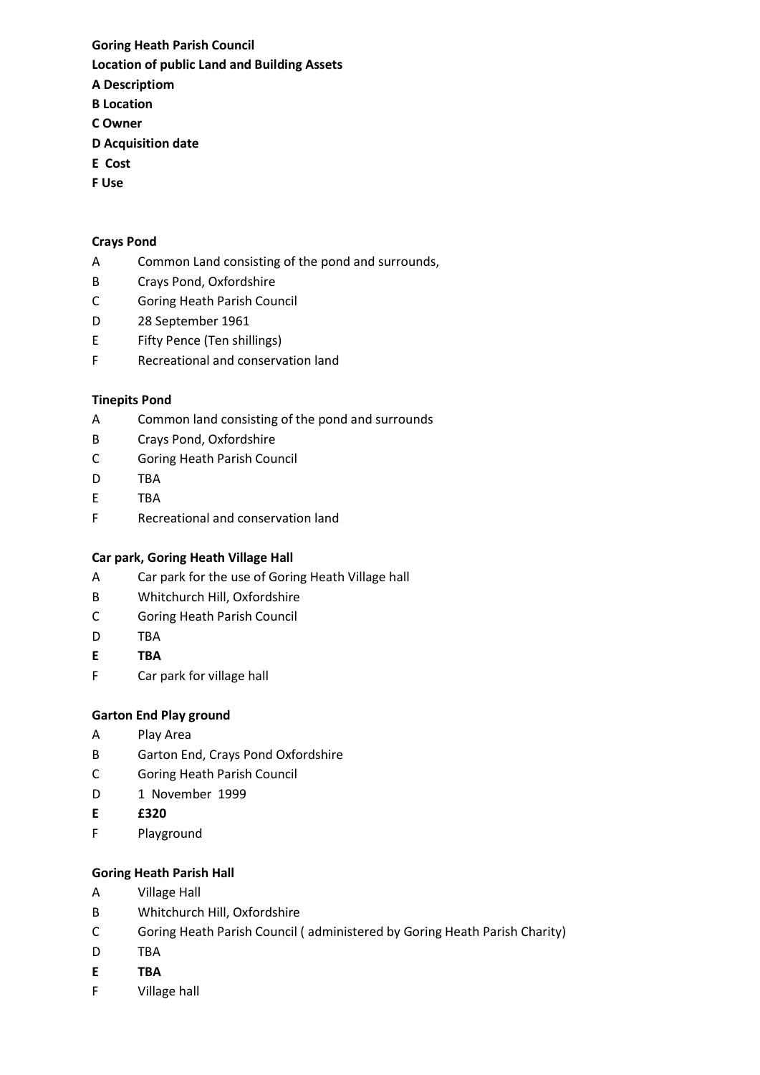# Goring Heath Parish Council Location of public Land and Building Assets

- A Descriptiom B Location
- C Owner
- 
- D Acquisition date
- E Cost
- F Use

#### Crays Pond

- A Common Land consisting of the pond and surrounds,
- B Crays Pond, Oxfordshire
- C Goring Heath Parish Council
- D 28 September 1961
- E Fifty Pence (Ten shillings)
- F Recreational and conservation land

### Tinepits Pond

- A Common land consisting of the pond and surrounds
- B Crays Pond, Oxfordshire
- C Goring Heath Parish Council
- D TBA
- E TBA
- F Recreational and conservation land

# Car park, Goring Heath Village Hall

- A Car park for the use of Goring Heath Village hall
- B Whitchurch Hill, Oxfordshire
- C Goring Heath Parish Council
- D TBA
- E TBA
- F Car park for village hall

# Garton End Play ground

- A Play Area
- B Garton End, Crays Pond Oxfordshire
- C Goring Heath Parish Council
- D 1 November 1999
- E £320
- F Playground

#### Goring Heath Parish Hall

- A Village Hall
- B Whitchurch Hill, Oxfordshire
- C Goring Heath Parish Council ( administered by Goring Heath Parish Charity)
- D TBA
- E TBA
- F Village hall